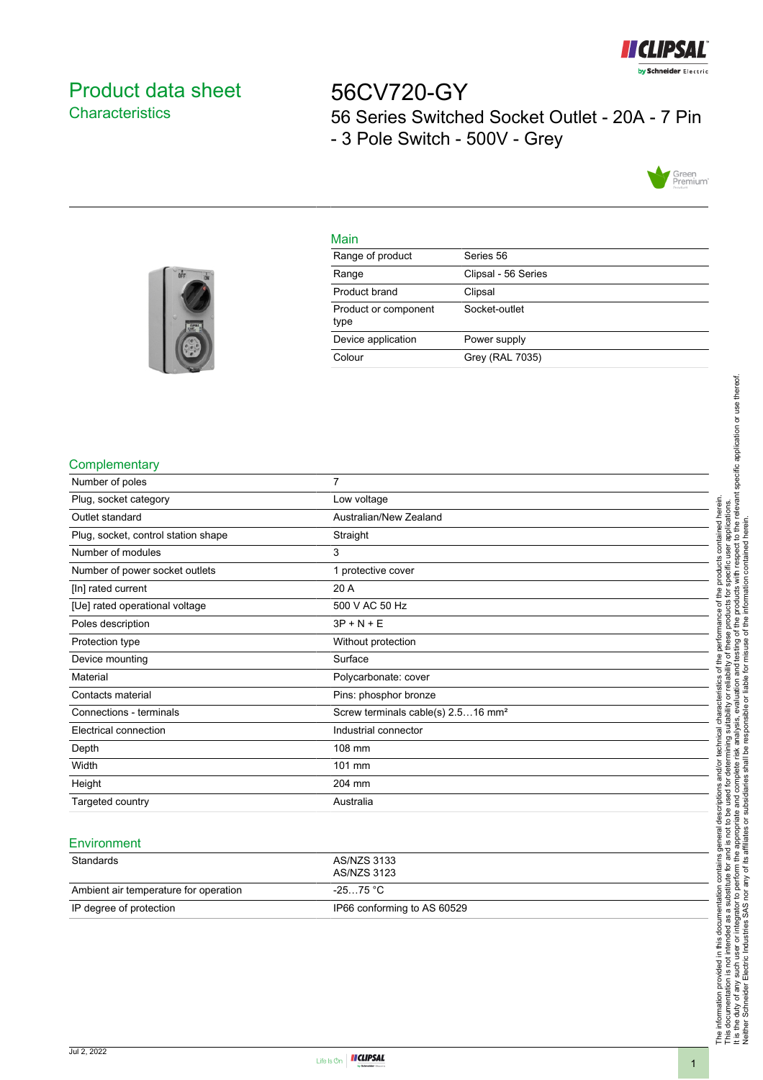

# <span id="page-0-0"></span>Product data sheet **Characteristics**

56CV720-GY 56 Series Switched Socket Outlet - 20A - 7 Pin - 3 Pole Switch - 500V - Grey



### Main

| Range of product             | Series 56           |
|------------------------------|---------------------|
| Range                        | Clipsal - 56 Series |
| Product brand                | Clipsal             |
| Product or component<br>type | Socket-outlet       |
| Device application           | Power supply        |
| Colour                       | Grey (RAL 7035)     |
|                              |                     |



#### **Complementary**

| Number of poles                     | 7                                              |
|-------------------------------------|------------------------------------------------|
| Plug, socket category               | Low voltage                                    |
| Outlet standard                     | Australian/New Zealand                         |
| Plug, socket, control station shape | Straight                                       |
| Number of modules                   | 3                                              |
| Number of power socket outlets      | 1 protective cover                             |
| [In] rated current                  | 20 A                                           |
| [Ue] rated operational voltage      | 500 V AC 50 Hz                                 |
| Poles description                   | $3P + N + E$                                   |
| Protection type                     | Without protection                             |
| Device mounting                     | Surface                                        |
| Material                            | Polycarbonate: cover                           |
| Contacts material                   | Pins: phosphor bronze                          |
| Connections - terminals             | Screw terminals cable(s) 2.516 mm <sup>2</sup> |
| Electrical connection               | Industrial connector                           |
| Depth                               | 108 mm                                         |
| Width                               | 101 mm                                         |
| Height                              | 204 mm                                         |
| Targeted country                    | Australia                                      |
|                                     |                                                |

#### **Environment**

| Standards                             | AS/NZS 3133<br>AS/NZS 3123  |
|---------------------------------------|-----------------------------|
| Ambient air temperature for operation | -25…75 °C                   |
| IP degree of protection               | IP66 conforming to AS 60529 |